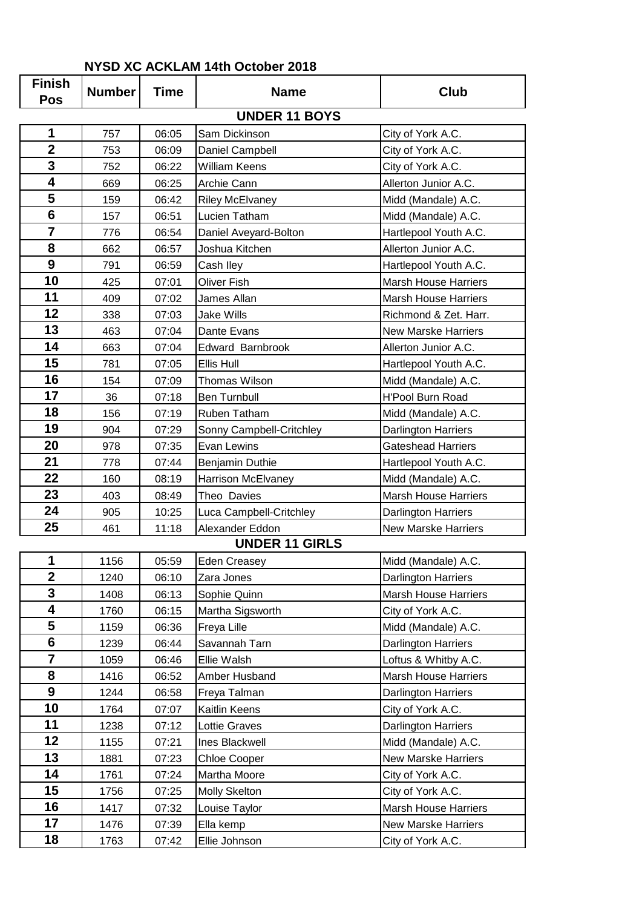| <b>Finish</b><br><b>Pos</b> | <b>Number</b> | <b>Time</b> | <b>Name</b>              | <b>Club</b>                 |
|-----------------------------|---------------|-------------|--------------------------|-----------------------------|
|                             |               |             | <b>UNDER 11 BOYS</b>     |                             |
| 1                           | 757           | 06:05       | Sam Dickinson            | City of York A.C.           |
| $\overline{2}$              | 753           | 06:09       | Daniel Campbell          | City of York A.C.           |
| 3                           | 752           | 06:22       | <b>William Keens</b>     | City of York A.C.           |
| 4                           | 669           | 06:25       | Archie Cann              | Allerton Junior A.C.        |
| 5                           | 159           | 06:42       | <b>Riley McElvaney</b>   | Midd (Mandale) A.C.         |
| 6                           | 157           | 06:51       | Lucien Tatham            | Midd (Mandale) A.C.         |
| $\overline{7}$              | 776           | 06:54       | Daniel Aveyard-Bolton    | Hartlepool Youth A.C.       |
| 8                           | 662           | 06:57       | Joshua Kitchen           | Allerton Junior A.C.        |
| 9                           | 791           | 06:59       | Cash Iley                | Hartlepool Youth A.C.       |
| 10                          | 425           | 07:01       | <b>Oliver Fish</b>       | <b>Marsh House Harriers</b> |
| 11                          | 409           | 07:02       | James Allan              | <b>Marsh House Harriers</b> |
| 12                          | 338           | 07:03       | <b>Jake Wills</b>        | Richmond & Zet. Harr.       |
| 13                          | 463           | 07:04       | Dante Evans              | <b>New Marske Harriers</b>  |
| 14                          | 663           | 07:04       | Edward Barnbrook         | Allerton Junior A.C.        |
| 15                          | 781           | 07:05       | Ellis Hull               | Hartlepool Youth A.C.       |
| 16                          | 154           | 07:09       | <b>Thomas Wilson</b>     | Midd (Mandale) A.C.         |
| 17                          | 36            | 07:18       | <b>Ben Turnbull</b>      | <b>H'Pool Burn Road</b>     |
| 18                          | 156           | 07:19       | Ruben Tatham             | Midd (Mandale) A.C.         |
| 19                          | 904           | 07:29       | Sonny Campbell-Critchley | Darlington Harriers         |
| 20                          | 978           | 07:35       | Evan Lewins              | <b>Gateshead Harriers</b>   |
| 21                          | 778           | 07:44       | Benjamin Duthie          | Hartlepool Youth A.C.       |
| 22                          | 160           | 08:19       | Harrison McElvaney       | Midd (Mandale) A.C.         |
| 23                          | 403           | 08:49       | Theo Davies              | <b>Marsh House Harriers</b> |
| 24                          | 905           | 10:25       | Luca Campbell-Critchley  | Darlington Harriers         |
| 25                          | 461           | 11:18       | Alexander Eddon          | <b>New Marske Harriers</b>  |
|                             |               |             | <b>UNDER 11 GIRLS</b>    |                             |
| $\mathbf 1$                 | 1156          | 05:59       | Eden Creasey             | Midd (Mandale) A.C.         |
| $\overline{2}$              | 1240          | 06:10       | Zara Jones               | Darlington Harriers         |
| 3                           | 1408          | 06:13       | Sophie Quinn             | <b>Marsh House Harriers</b> |
| 4                           | 1760          | 06:15       | Martha Sigsworth         | City of York A.C.           |
| 5                           | 1159          | 06:36       | Freya Lille              | Midd (Mandale) A.C.         |
| $6\phantom{1}$              | 1239          | 06:44       | Savannah Tarn            | Darlington Harriers         |
| $\overline{7}$              | 1059          | 06:46       | Ellie Walsh              | Loftus & Whitby A.C.        |
| 8                           | 1416          | 06:52       | Amber Husband            | <b>Marsh House Harriers</b> |
| 9                           | 1244          | 06:58       | Freya Talman             | Darlington Harriers         |
| 10                          | 1764          | 07:07       | Kaitlin Keens            | City of York A.C.           |
| 11                          | 1238          | 07:12       | Lottie Graves            | Darlington Harriers         |
| 12                          | 1155          | 07:21       | Ines Blackwell           | Midd (Mandale) A.C.         |
| 13                          | 1881          | 07:23       | <b>Chloe Cooper</b>      | <b>New Marske Harriers</b>  |
| 14                          | 1761          | 07:24       | Martha Moore             | City of York A.C.           |
| 15                          | 1756          | 07:25       | Molly Skelton            | City of York A.C.           |
| 16                          | 1417          | 07:32       | Louise Taylor            | <b>Marsh House Harriers</b> |
| 17                          | 1476          | 07:39       | Ella kemp                | New Marske Harriers         |
| 18                          | 1763          | 07:42       | Ellie Johnson            | City of York A.C.           |

## **NYSD XC ACKLAM 14th October 2018**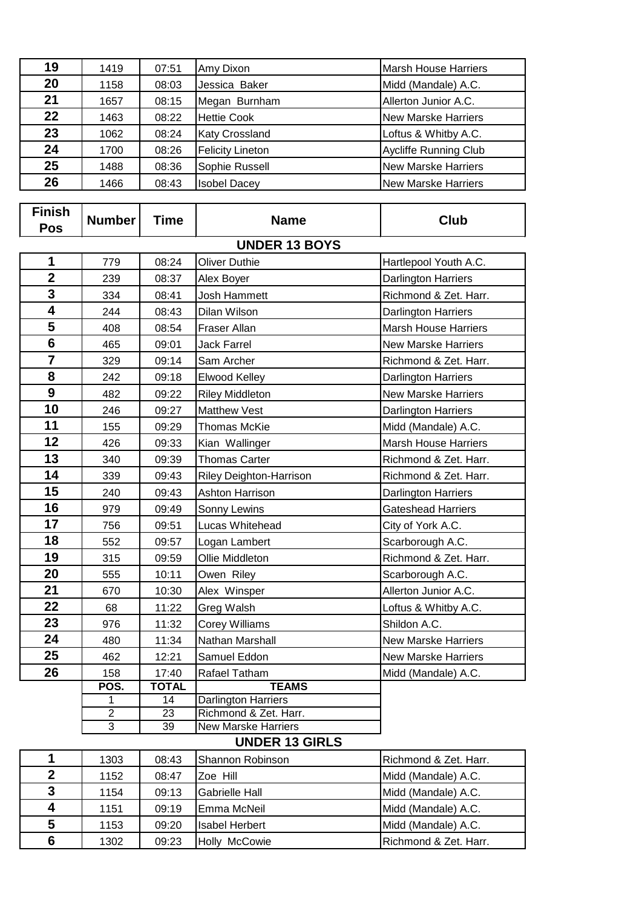| 19 | 1419 | 07:51 | Amy Dixon               | <b>Marsh House Harriers</b>  |
|----|------|-------|-------------------------|------------------------------|
| 20 | 1158 | 08:03 | Jessica Baker           | Midd (Mandale) A.C.          |
| 21 | 1657 | 08:15 | Megan Burnham           | Allerton Junior A.C.         |
| 22 | 1463 | 08:22 | <b>Hettie Cook</b>      | New Marske Harriers          |
| 23 | 1062 | 08:24 | <b>Katy Crossland</b>   | Loftus & Whitby A.C.         |
| 24 | 1700 | 08:26 | <b>Felicity Lineton</b> | <b>Aycliffe Running Club</b> |
| 25 | 1488 | 08:36 | Sophie Russell          | New Marske Harriers          |
| 26 | 1466 | 08:43 | <b>Isobel Dacey</b>     | New Marske Harriers          |

| <b>Finish</b><br><b>Pos</b> | <b>Number</b>  | <b>Time</b>  | <b>Name</b>                | Club                        |
|-----------------------------|----------------|--------------|----------------------------|-----------------------------|
|                             |                |              | <b>UNDER 13 BOYS</b>       |                             |
| 1                           | 779            | 08:24        | <b>Oliver Duthie</b>       | Hartlepool Youth A.C.       |
| $\overline{\mathbf{2}}$     | 239            | 08:37        | Alex Boyer                 | Darlington Harriers         |
| 3                           | 334            | 08:41        | Josh Hammett               | Richmond & Zet. Harr.       |
| 4                           | 244            | 08:43        | Dilan Wilson               | Darlington Harriers         |
| 5                           | 408            | 08:54        | Fraser Allan               | <b>Marsh House Harriers</b> |
| $6\phantom{1}$              | 465            | 09:01        | Jack Farrel                | <b>New Marske Harriers</b>  |
| $\overline{7}$              | 329            | 09:14        | Sam Archer                 | Richmond & Zet. Harr.       |
| 8                           | 242            | 09:18        | Elwood Kelley              | Darlington Harriers         |
| 9                           | 482            | 09:22        | <b>Riley Middleton</b>     | <b>New Marske Harriers</b>  |
| 10                          | 246            | 09:27        | <b>Matthew Vest</b>        | Darlington Harriers         |
| 11                          | 155            | 09:29        | <b>Thomas McKie</b>        | Midd (Mandale) A.C.         |
| 12                          | 426            | 09:33        | Kian Wallinger             | <b>Marsh House Harriers</b> |
| 13                          | 340            | 09:39        | <b>Thomas Carter</b>       | Richmond & Zet. Harr.       |
| 14                          | 339            | 09:43        | Riley Deighton-Harrison    | Richmond & Zet. Harr.       |
| 15                          | 240            | 09:43        | <b>Ashton Harrison</b>     | Darlington Harriers         |
| 16                          | 979            | 09:49        | Sonny Lewins               | <b>Gateshead Harriers</b>   |
| 17                          | 756            | 09:51        | Lucas Whitehead            | City of York A.C.           |
| 18                          | 552            | 09:57        | Logan Lambert              | Scarborough A.C.            |
| 19                          | 315            | 09:59        | Ollie Middleton            | Richmond & Zet. Harr.       |
| 20                          | 555            | 10:11        | Owen Riley                 | Scarborough A.C.            |
| 21                          | 670            | 10:30        | Alex Winsper               | Allerton Junior A.C.        |
| 22                          | 68             | 11:22        | Greg Walsh                 | Loftus & Whitby A.C.        |
| 23                          | 976            | 11:32        | Corey Williams             | Shildon A.C.                |
| 24                          | 480            | 11:34        | Nathan Marshall            | <b>New Marske Harriers</b>  |
| 25                          | 462            | 12:21        | Samuel Eddon               | <b>New Marske Harriers</b>  |
| 26                          | 158            | 17:40        | Rafael Tatham              | Midd (Mandale) A.C.         |
|                             | POS.           | <b>TOTAL</b> | <b>TEAMS</b>               |                             |
|                             | 1              | 14           | <b>Darlington Harriers</b> |                             |
|                             | $\overline{2}$ | 23           | Richmond & Zet. Harr.      |                             |
|                             | 3              | 39           | <b>New Marske Harriers</b> |                             |
|                             |                |              | <b>UNDER 13 GIRLS</b>      |                             |
| 1                           | 1303           | 08:43        | Shannon Robinson           | Richmond & Zet. Harr.       |
| $\mathbf{2}$                | 1152           | 08:47        | Zoe Hill                   | Midd (Mandale) A.C.         |
| 3                           | 1154           | 09:13        | <b>Gabrielle Hall</b>      | Midd (Mandale) A.C.         |
| 4                           | 1151           | 09:19        | Emma McNeil                | Midd (Mandale) A.C.         |
| 5                           | 1153           | 09:20        | <b>Isabel Herbert</b>      | Midd (Mandale) A.C.         |
| 6                           | 1302           | 09:23        | Holly McCowie              | Richmond & Zet. Harr.       |

1302 09:23 Holly McCowie Richmond & Zet. Harr.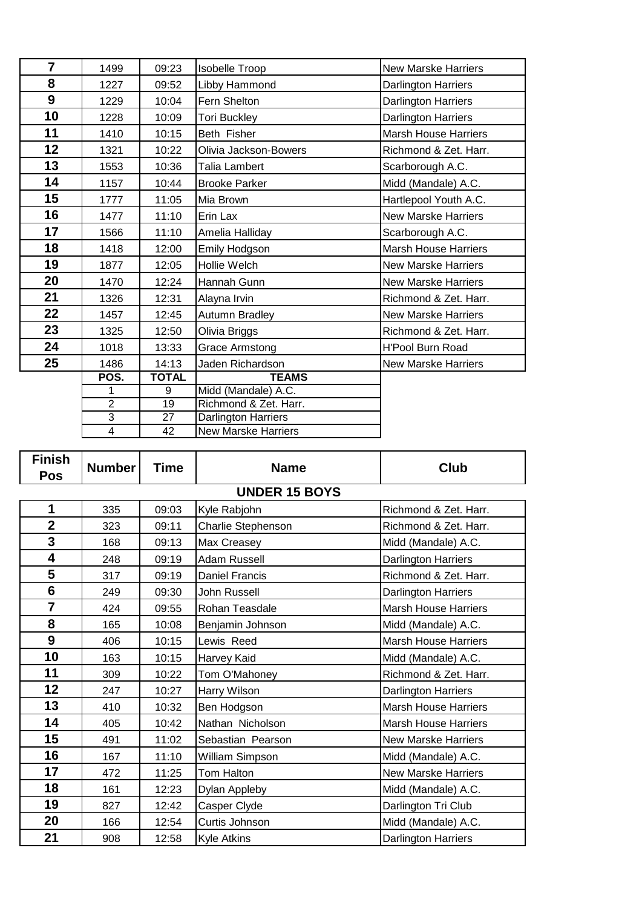| $\overline{7}$ | 1499                    | 09:23        | <b>Isobelle Troop</b>      | <b>New Marske Harriers</b>  |
|----------------|-------------------------|--------------|----------------------------|-----------------------------|
| 8              | 1227                    | 09:52        | Libby Hammond              | Darlington Harriers         |
| 9              | 1229                    | 10:04        | Fern Shelton               | Darlington Harriers         |
| 10             | 1228                    | 10:09        | <b>Tori Buckley</b>        | <b>Darlington Harriers</b>  |
| 11             | 1410                    | 10:15        | Beth Fisher                | <b>Marsh House Harriers</b> |
| 12             | 1321                    | 10:22        | Olivia Jackson-Bowers      | Richmond & Zet. Harr.       |
| 13             | 1553                    | 10:36        | Talia Lambert              | Scarborough A.C.            |
| 14             | 1157                    | 10:44        | <b>Brooke Parker</b>       | Midd (Mandale) A.C.         |
| 15             | 1777                    | 11:05        | Mia Brown                  | Hartlepool Youth A.C.       |
| 16             | 1477                    | 11:10        | Erin Lax                   | <b>New Marske Harriers</b>  |
| 17             | 1566                    | 11:10        | Amelia Halliday            | Scarborough A.C.            |
| 18             | 1418                    | 12:00        | Emily Hodgson              | <b>Marsh House Harriers</b> |
| 19             | 1877                    | 12:05        | Hollie Welch               | <b>New Marske Harriers</b>  |
| 20             | 1470                    | 12:24        | Hannah Gunn                | <b>New Marske Harriers</b>  |
| 21             | 1326                    | 12:31        | Alayna Irvin               | Richmond & Zet. Harr.       |
| 22             | 1457                    | 12:45        | Autumn Bradley             | <b>New Marske Harriers</b>  |
| 23             | 1325                    | 12:50        | Olivia Briggs              | Richmond & Zet. Harr.       |
| 24             | 1018                    | 13:33        | <b>Grace Armstong</b>      | H'Pool Burn Road            |
| 25             | 1486                    | 14:13        | Jaden Richardson           | <b>New Marske Harriers</b>  |
|                | POS.                    | <b>TOTAL</b> | <b>TEAMS</b>               |                             |
|                | 1                       | 9            | Midd (Mandale) A.C.        |                             |
|                | $\overline{2}$          | 19           | Richmond & Zet. Harr.      |                             |
|                | 3                       | 27           | Darlington Harriers        |                             |
|                | $\overline{\mathbf{4}}$ | 42           | <b>New Marske Harriers</b> |                             |

| <b>Finish</b><br><b>Pos</b> | <b>Number</b>        | Time  | <b>Name</b>           | Club                        |  |  |  |  |  |
|-----------------------------|----------------------|-------|-----------------------|-----------------------------|--|--|--|--|--|
|                             | <b>UNDER 15 BOYS</b> |       |                       |                             |  |  |  |  |  |
| 1                           | 335                  | 09:03 | Kyle Rabjohn          | Richmond & Zet. Harr.       |  |  |  |  |  |
| $\overline{2}$              | 323                  | 09:11 | Charlie Stephenson    | Richmond & Zet. Harr.       |  |  |  |  |  |
| 3                           | 168                  | 09:13 | Max Creasey           | Midd (Mandale) A.C.         |  |  |  |  |  |
| $\overline{\mathbf{4}}$     | 248                  | 09:19 | <b>Adam Russell</b>   | Darlington Harriers         |  |  |  |  |  |
| 5                           | 317                  | 09:19 | <b>Daniel Francis</b> | Richmond & Zet. Harr.       |  |  |  |  |  |
| $6\phantom{1}$              | 249                  | 09:30 | John Russell          | Darlington Harriers         |  |  |  |  |  |
| $\overline{7}$              | 424                  | 09:55 | Rohan Teasdale        | <b>Marsh House Harriers</b> |  |  |  |  |  |
| 8                           | 165                  | 10:08 | Benjamin Johnson      | Midd (Mandale) A.C.         |  |  |  |  |  |
| 9                           | 406                  | 10:15 | Lewis Reed            | <b>Marsh House Harriers</b> |  |  |  |  |  |
| 10                          | 163                  | 10:15 | Harvey Kaid           | Midd (Mandale) A.C.         |  |  |  |  |  |
| 11                          | 309                  | 10:22 | Tom O'Mahoney         | Richmond & Zet. Harr.       |  |  |  |  |  |
| 12                          | 247                  | 10:27 | Harry Wilson          | Darlington Harriers         |  |  |  |  |  |
| 13                          | 410                  | 10:32 | Ben Hodgson           | <b>Marsh House Harriers</b> |  |  |  |  |  |
| 14                          | 405                  | 10:42 | Nathan Nicholson      | <b>Marsh House Harriers</b> |  |  |  |  |  |
| 15                          | 491                  | 11:02 | Sebastian Pearson     | <b>New Marske Harriers</b>  |  |  |  |  |  |
| 16                          | 167                  | 11:10 | William Simpson       | Midd (Mandale) A.C.         |  |  |  |  |  |
| 17                          | 472                  | 11:25 | Tom Halton            | <b>New Marske Harriers</b>  |  |  |  |  |  |
| 18                          | 161                  | 12:23 | Dylan Appleby         | Midd (Mandale) A.C.         |  |  |  |  |  |
| 19                          | 827                  | 12:42 | Casper Clyde          | Darlington Tri Club         |  |  |  |  |  |
| 20                          | 166                  | 12:54 | Curtis Johnson        | Midd (Mandale) A.C.         |  |  |  |  |  |
| 21                          | 908                  | 12:58 | Kyle Atkins           | Darlington Harriers         |  |  |  |  |  |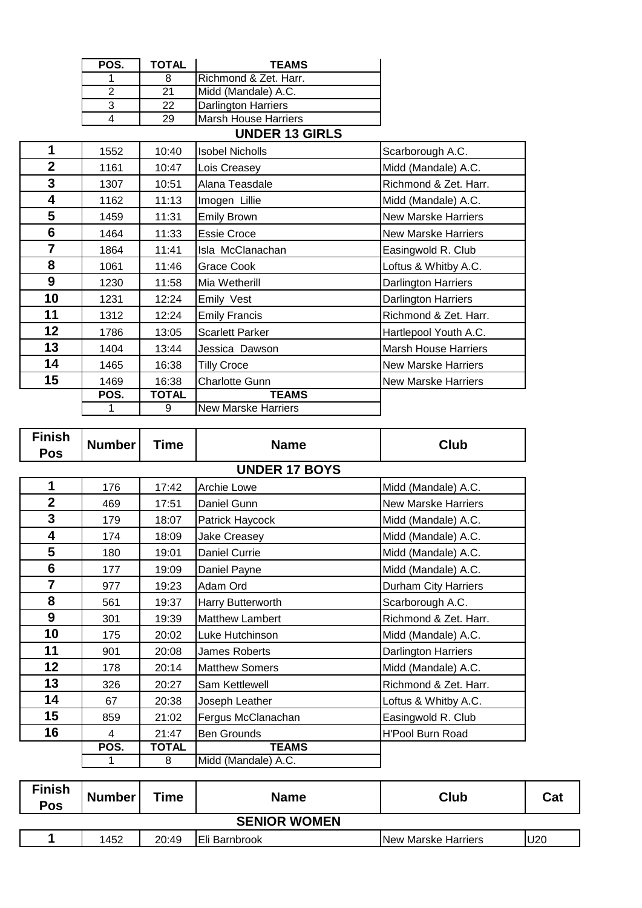| POS. | <b>TOTAL</b> | <b>TEAMS</b>                |
|------|--------------|-----------------------------|
|      |              | Richmond & Zet. Harr.       |
|      | 21           | Midd (Mandale) A.C.         |
|      | 22           | <b>Darlington Harriers</b>  |
|      | 29           | <b>Marsh House Harriers</b> |
|      |              | <b>UNDER 13 GIRLS</b>       |

## 1552 10:40 Isobel Nicholls Scarborough A.C. 1161 10:47 Lois Creasey Midd (Mandale) A.C. | 1307 | 10:51 Alana Teasdale | Richmond & Zet. Harr. 1162 11:13 Imogen Lillie Midd (Mandale) A.C. 1459 11:31 Emily Brown New Marske Harriers 1464 11:33 Essie Croce New Marske Harriers 1864 11:41 Isla McClanachan **Easingwold R. Club**  1061 11:46 Grace Cook Loftus & Whitby A.C. 1230 11:58 Mia Wetherill Darlington Harriers | 1231 | 12:24 Emily Vest | Darlington Harriers | 1312 | 12:24 | Emily Francis | Richmond & Zet. Harr. 1786 13:05 Scarlett Parker Hartlepool Youth A.C. 1404 13:44 Jessica Dawson Marsh House Harriers | 1465 | 16:38 Tilly Croce New Marske Harriers 15 | 1469 | 16:38 Charlotte Gunn New Marske Harriers **POS. TOTAL TEAMS** 1 9 New Marske Harriers

| <b>Finish</b><br><b>Pos</b> | <b>Number</b> | Time         | <b>Name</b>            | <b>Club</b>                |
|-----------------------------|---------------|--------------|------------------------|----------------------------|
|                             |               |              | <b>UNDER 17 BOYS</b>   |                            |
| 1                           | 176           | 17:42        | Archie Lowe            | Midd (Mandale) A.C.        |
| $\overline{2}$              | 469           | 17:51        | Daniel Gunn            | <b>New Marske Harriers</b> |
| 3                           | 179           | 18:07        | Patrick Haycock        | Midd (Mandale) A.C.        |
| 4                           | 174           | 18:09        | Jake Creasey           | Midd (Mandale) A.C.        |
| 5                           | 180           | 19:01        | Daniel Currie          | Midd (Mandale) A.C.        |
| 6                           | 177           | 19:09        | Daniel Payne           | Midd (Mandale) A.C.        |
| $\overline{7}$              | 977           | 19:23        | Adam Ord               | Durham City Harriers       |
| 8                           | 561           | 19:37        | Harry Butterworth      | Scarborough A.C.           |
| 9                           | 301           | 19:39        | <b>Matthew Lambert</b> | Richmond & Zet. Harr.      |
| 10                          | 175           | 20:02        | Luke Hutchinson        | Midd (Mandale) A.C.        |
| 11                          | 901           | 20:08        | James Roberts          | Darlington Harriers        |
| 12                          | 178           | 20:14        | <b>Matthew Somers</b>  | Midd (Mandale) A.C.        |
| 13                          | 326           | 20:27        | Sam Kettlewell         | Richmond & Zet. Harr.      |
| 14                          | 67            | 20:38        | Joseph Leather         | Loftus & Whitby A.C.       |
| 15                          | 859           | 21:02        | Fergus McClanachan     | Easingwold R. Club         |
| 16                          | 4             | 21:47        | <b>Ben Grounds</b>     | H'Pool Burn Road           |
|                             | POS.          | <b>TOTAL</b> | <b>TEAMS</b>           |                            |
|                             |               | 8            | Midd (Mandale) A.C.    |                            |

| <b>Finish</b><br><b>Pos</b> | <b>Number</b> | Time  | <b>Name</b>          | <b>Club</b>                 | Cat |  |
|-----------------------------|---------------|-------|----------------------|-----------------------------|-----|--|
| <b>SENIOR WOMEN</b>         |               |       |                      |                             |     |  |
|                             | 1452          | 20:49 | <b>Eli Barnbrook</b> | <b>INew Marske Harriers</b> | J20 |  |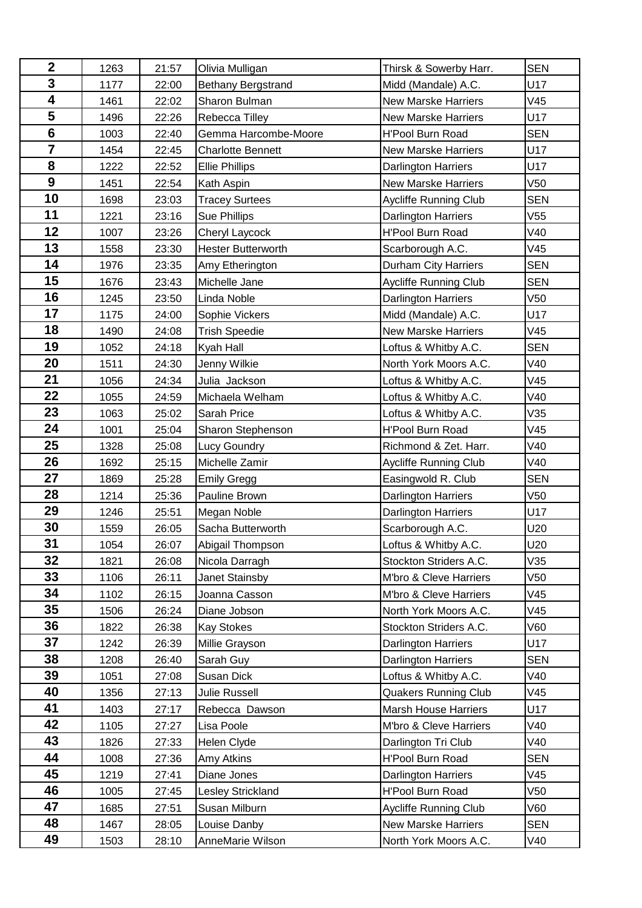| $\mathbf{2}$            | 1263 | 21:57 | Olivia Mulligan           | Thirsk & Sowerby Harr.      | <b>SEN</b>      |
|-------------------------|------|-------|---------------------------|-----------------------------|-----------------|
| 3                       | 1177 | 22:00 | Bethany Bergstrand        | Midd (Mandale) A.C.         | U17             |
| $\overline{\mathbf{4}}$ | 1461 | 22:02 | Sharon Bulman             | <b>New Marske Harriers</b>  | V45             |
| 5                       | 1496 | 22:26 | Rebecca Tilley            | <b>New Marske Harriers</b>  | U17             |
| $6\phantom{1}6$         | 1003 | 22:40 | Gemma Harcombe-Moore      | <b>H'Pool Burn Road</b>     | <b>SEN</b>      |
| $\overline{7}$          | 1454 | 22:45 | <b>Charlotte Bennett</b>  | <b>New Marske Harriers</b>  | U17             |
| 8                       | 1222 | 22:52 | <b>Ellie Phillips</b>     | <b>Darlington Harriers</b>  | U17             |
| $\boldsymbol{9}$        | 1451 | 22:54 | Kath Aspin                | <b>New Marske Harriers</b>  | V50             |
| 10                      | 1698 | 23:03 | <b>Tracey Surtees</b>     | Aycliffe Running Club       | <b>SEN</b>      |
| 11                      | 1221 | 23:16 | <b>Sue Phillips</b>       | Darlington Harriers         | V55             |
| 12                      | 1007 | 23:26 | Cheryl Laycock            | H'Pool Burn Road            | V40             |
| 13                      | 1558 | 23:30 | <b>Hester Butterworth</b> | Scarborough A.C.            | V45             |
| 14                      | 1976 | 23:35 | Amy Etherington           | Durham City Harriers        | <b>SEN</b>      |
| 15                      | 1676 | 23:43 | Michelle Jane             | Aycliffe Running Club       | <b>SEN</b>      |
| 16                      | 1245 | 23:50 | Linda Noble               | <b>Darlington Harriers</b>  | V <sub>50</sub> |
| 17                      | 1175 | 24:00 | Sophie Vickers            | Midd (Mandale) A.C.         | U17             |
| 18                      | 1490 | 24:08 | <b>Trish Speedie</b>      | <b>New Marske Harriers</b>  | V45             |
| 19                      | 1052 | 24:18 | Kyah Hall                 | Loftus & Whitby A.C.        | <b>SEN</b>      |
| 20                      | 1511 | 24:30 | Jenny Wilkie              | North York Moors A.C.       | V40             |
| 21                      | 1056 | 24:34 | Julia Jackson             | Loftus & Whitby A.C.        | V45             |
| 22                      | 1055 | 24:59 | Michaela Welham           | Loftus & Whitby A.C.        | V40             |
| 23                      | 1063 | 25:02 | Sarah Price               | Loftus & Whitby A.C.        | V35             |
| 24                      | 1001 | 25:04 | Sharon Stephenson         | H'Pool Burn Road            | V45             |
| 25                      | 1328 | 25:08 | <b>Lucy Goundry</b>       | Richmond & Zet. Harr.       | V40             |
| 26                      | 1692 | 25:15 | Michelle Zamir            | Aycliffe Running Club       | V40             |
| 27                      | 1869 | 25:28 | <b>Emily Gregg</b>        | Easingwold R. Club          | <b>SEN</b>      |
| 28                      | 1214 | 25:36 | Pauline Brown             | Darlington Harriers         | V <sub>50</sub> |
| 29                      | 1246 | 25:51 | Megan Noble               | Darlington Harriers         | U17             |
| 30                      | 1559 | 26:05 | Sacha Butterworth         | Scarborough A.C.            | U20             |
| 31                      | 1054 | 26:07 | Abigail Thompson          | Loftus & Whitby A.C.        | U20             |
| 32                      | 1821 | 26:08 | Nicola Darragh            | Stockton Striders A.C.      | V35             |
| 33                      | 1106 | 26:11 | Janet Stainsby            | M'bro & Cleve Harriers      | V50             |
| 34                      | 1102 | 26:15 | Joanna Casson             | M'bro & Cleve Harriers      | V45             |
| 35                      | 1506 | 26:24 | Diane Jobson              | North York Moors A.C.       | V45             |
| 36                      | 1822 | 26:38 | <b>Kay Stokes</b>         | Stockton Striders A.C.      | V60             |
| 37                      | 1242 | 26:39 | Millie Grayson            | Darlington Harriers         | U17             |
| 38                      | 1208 | 26:40 | Sarah Guy                 | <b>Darlington Harriers</b>  | <b>SEN</b>      |
| 39                      | 1051 | 27:08 | Susan Dick                | Loftus & Whitby A.C.        | V40             |
| 40                      | 1356 | 27:13 | Julie Russell             | <b>Quakers Running Club</b> | V45             |
| 41                      | 1403 | 27:17 | Rebecca Dawson            | <b>Marsh House Harriers</b> | U17             |
| 42                      | 1105 | 27:27 | Lisa Poole                | M'bro & Cleve Harriers      | V40             |
| 43                      | 1826 | 27:33 | Helen Clyde               | Darlington Tri Club         | V40             |
| 44                      | 1008 | 27:36 | Amy Atkins                | H'Pool Burn Road            | <b>SEN</b>      |
| 45                      | 1219 | 27:41 | Diane Jones               | Darlington Harriers         | V45             |
| 46                      | 1005 | 27:45 | Lesley Strickland         | H'Pool Burn Road            | V50             |
| 47                      | 1685 | 27:51 | Susan Milburn             | Aycliffe Running Club       | V60             |
| 48                      | 1467 | 28:05 | Louise Danby              | <b>New Marske Harriers</b>  | <b>SEN</b>      |
| 49                      | 1503 | 28:10 | AnneMarie Wilson          | North York Moors A.C.       | V40             |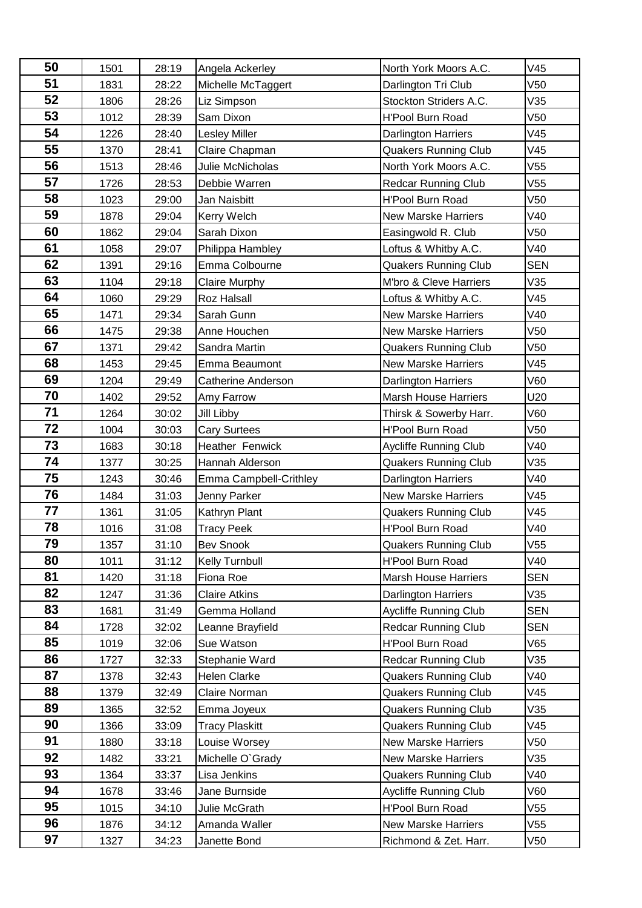| 50 | 1501 | 28:19 | Angela Ackerley           | North York Moors A.C.       | V45             |
|----|------|-------|---------------------------|-----------------------------|-----------------|
| 51 | 1831 | 28:22 | Michelle McTaggert        | Darlington Tri Club         | V <sub>50</sub> |
| 52 | 1806 | 28:26 | Liz Simpson               | Stockton Striders A.C.      | V35             |
| 53 | 1012 | 28:39 | Sam Dixon                 | <b>H'Pool Burn Road</b>     | V <sub>50</sub> |
| 54 | 1226 | 28:40 | <b>Lesley Miller</b>      | <b>Darlington Harriers</b>  | V45             |
| 55 | 1370 | 28:41 | Claire Chapman            | <b>Quakers Running Club</b> | V45             |
| 56 | 1513 | 28:46 | Julie McNicholas          | North York Moors A.C.       | V55             |
| 57 | 1726 | 28:53 | Debbie Warren             | <b>Redcar Running Club</b>  | V55             |
| 58 | 1023 | 29:00 | Jan Naisbitt              | <b>H'Pool Burn Road</b>     | V <sub>50</sub> |
| 59 | 1878 | 29:04 | Kerry Welch               | <b>New Marske Harriers</b>  | V40             |
| 60 | 1862 | 29:04 | Sarah Dixon               | Easingwold R. Club          | V50             |
| 61 | 1058 | 29:07 | Philippa Hambley          | Loftus & Whitby A.C.        | V40             |
| 62 | 1391 | 29:16 | Emma Colbourne            | <b>Quakers Running Club</b> | <b>SEN</b>      |
| 63 | 1104 | 29:18 | Claire Murphy             | M'bro & Cleve Harriers      | V35             |
| 64 | 1060 | 29:29 | Roz Halsall               | Loftus & Whitby A.C.        | V45             |
| 65 | 1471 | 29:34 | Sarah Gunn                | <b>New Marske Harriers</b>  | V40             |
| 66 | 1475 | 29:38 | Anne Houchen              | <b>New Marske Harriers</b>  | V50             |
| 67 | 1371 | 29:42 | Sandra Martin             | <b>Quakers Running Club</b> | V <sub>50</sub> |
| 68 | 1453 | 29:45 | Emma Beaumont             | <b>New Marske Harriers</b>  | V45             |
| 69 | 1204 | 29:49 | <b>Catherine Anderson</b> | <b>Darlington Harriers</b>  | V60             |
| 70 | 1402 | 29:52 | Amy Farrow                | <b>Marsh House Harriers</b> | U20             |
| 71 | 1264 | 30:02 | Jill Libby                | Thirsk & Sowerby Harr.      | V60             |
| 72 | 1004 | 30:03 | <b>Cary Surtees</b>       | <b>H'Pool Burn Road</b>     | V50             |
| 73 | 1683 | 30:18 | Heather Fenwick           | Aycliffe Running Club       | V40             |
| 74 | 1377 | 30:25 | Hannah Alderson           | <b>Quakers Running Club</b> | V35             |
| 75 | 1243 | 30:46 | Emma Campbell-Crithley    | Darlington Harriers         | V40             |
| 76 | 1484 | 31:03 | Jenny Parker              | <b>New Marske Harriers</b>  | V45             |
| 77 | 1361 | 31:05 | Kathryn Plant             | <b>Quakers Running Club</b> | V45             |
| 78 | 1016 | 31:08 | <b>Tracy Peek</b>         | H'Pool Burn Road            | V40             |
| 79 | 1357 | 31:10 | <b>Bev Snook</b>          | <b>Quakers Running Club</b> | V55             |
| 80 | 1011 | 31:12 | Kelly Turnbull            | H'Pool Burn Road            | V40             |
| 81 | 1420 | 31:18 | Fiona Roe                 | <b>Marsh House Harriers</b> | <b>SEN</b>      |
| 82 | 1247 | 31:36 | <b>Claire Atkins</b>      | <b>Darlington Harriers</b>  | V35             |
| 83 | 1681 | 31:49 | Gemma Holland             | Aycliffe Running Club       | <b>SEN</b>      |
| 84 | 1728 | 32:02 | Leanne Brayfield          | <b>Redcar Running Club</b>  | <b>SEN</b>      |
| 85 | 1019 | 32:06 | Sue Watson                | H'Pool Burn Road            | V65             |
| 86 | 1727 | 32:33 | Stephanie Ward            | <b>Redcar Running Club</b>  | V35             |
| 87 | 1378 | 32:43 | Helen Clarke              | <b>Quakers Running Club</b> | V40             |
| 88 | 1379 | 32:49 | Claire Norman             | <b>Quakers Running Club</b> | V45             |
| 89 | 1365 | 32:52 | Emma Joyeux               | <b>Quakers Running Club</b> | V35             |
| 90 | 1366 | 33:09 | <b>Tracy Plaskitt</b>     | <b>Quakers Running Club</b> | V45             |
| 91 | 1880 | 33:18 | Louise Worsey             | <b>New Marske Harriers</b>  | V50             |
| 92 | 1482 | 33:21 | Michelle O'Grady          | <b>New Marske Harriers</b>  | V35             |
| 93 | 1364 | 33:37 | Lisa Jenkins              | <b>Quakers Running Club</b> | V40             |
| 94 | 1678 | 33:46 | Jane Burnside             | Aycliffe Running Club       | V60             |
| 95 | 1015 | 34:10 | Julie McGrath             | H'Pool Burn Road            | V55             |
| 96 | 1876 | 34:12 | Amanda Waller             | <b>New Marske Harriers</b>  | V55             |
| 97 | 1327 | 34:23 | Janette Bond              | Richmond & Zet. Harr.       | V50             |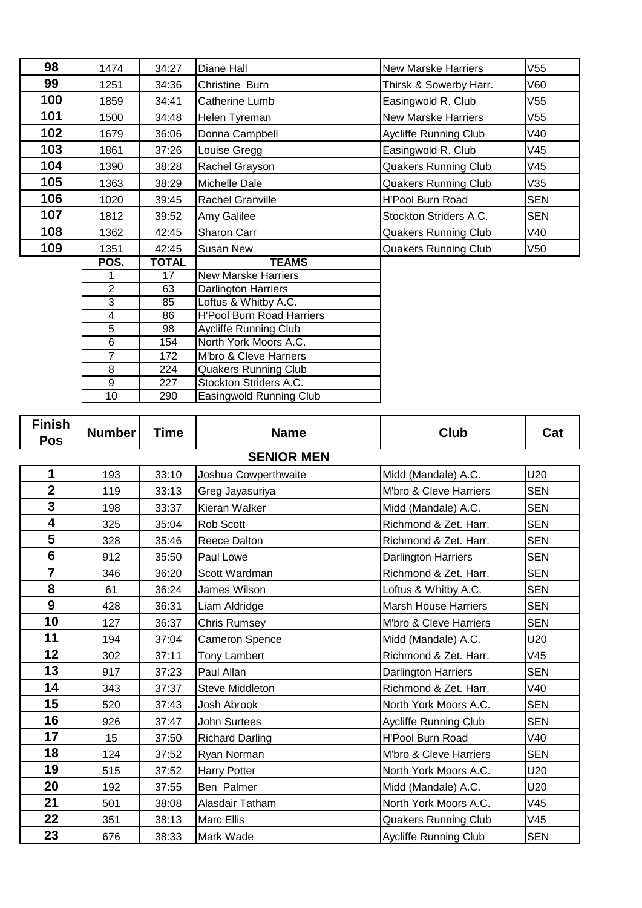| 98  | 1474            | 34:27           | Diane Hall                       | <b>New Marske Harriers</b>  | V55        |
|-----|-----------------|-----------------|----------------------------------|-----------------------------|------------|
| 99  | 1251            | 34:36           | Christine Burn                   | Thirsk & Sowerby Harr.      | V60        |
| 100 | 1859            | 34:41           | Catherine Lumb                   | Easingwold R. Club          | V55        |
| 101 | 1500            | 34:48           | Helen Tyreman                    | <b>New Marske Harriers</b>  | V55        |
| 102 | 1679            | 36:06           | Donna Campbell                   | Aycliffe Running Club       | V40        |
| 103 | 1861            | 37:26           | Louise Gregg                     | Easingwold R. Club          | V45        |
| 104 | 1390            | 38:28           | Rachel Grayson                   | <b>Quakers Running Club</b> | V45        |
| 105 | 1363            | 38:29           | Michelle Dale                    | <b>Quakers Running Club</b> | V35        |
| 106 | 1020            | 39:45           | Rachel Granville                 | <b>H'Pool Burn Road</b>     | <b>SEN</b> |
| 107 | 1812            | 39:52           | Amy Galilee                      | Stockton Striders A.C.      | <b>SEN</b> |
| 108 | 1362            | 42:45           | Sharon Carr                      | <b>Quakers Running Club</b> | V40        |
| 109 | 1351            | 42:45           | Susan New                        | <b>Quakers Running Club</b> | V50        |
|     | POS.            | <b>TOTAL</b>    | <b>TEAMS</b>                     |                             |            |
|     | 1               | 17              | <b>New Marske Harriers</b>       |                             |            |
|     | $\overline{2}$  | 63              | Darlington Harriers              |                             |            |
|     | $\overline{3}$  | 85              | Loftus & Whitby A.C.             |                             |            |
|     | 4               | 86              | <b>H'Pool Burn Road Harriers</b> |                             |            |
|     | $\overline{5}$  | $\overline{98}$ | <b>Aycliffe Running Club</b>     |                             |            |
|     | 6               | 154             | North York Moors A.C.            |                             |            |
|     | $\overline{7}$  | 172             | M'bro & Cleve Harriers           |                             |            |
|     | $\overline{8}$  | 224             | <b>Quakers Running Club</b>      |                             |            |
|     | 9               | 227             | Stockton Striders A.C.           |                             |            |
|     | $\overline{10}$ | 290             | Easingwold Running Club          |                             |            |

| <b>Finish</b><br>Pos | <b>Number</b> | <b>Time</b> | <b>Name</b>            | Club                         | Cat        |  |  |  |
|----------------------|---------------|-------------|------------------------|------------------------------|------------|--|--|--|
| <b>SENIOR MEN</b>    |               |             |                        |                              |            |  |  |  |
| 1                    | 193           | 33:10       | Joshua Cowperthwaite   | Midd (Mandale) A.C.          | U20        |  |  |  |
| $\overline{2}$       | 119           | 33:13       | Greg Jayasuriya        | M'bro & Cleve Harriers       | <b>SEN</b> |  |  |  |
| 3                    | 198           | 33:37       | Kieran Walker          | Midd (Mandale) A.C.          | <b>SEN</b> |  |  |  |
| 4                    | 325           | 35:04       | Rob Scott              | Richmond & Zet. Harr.        | <b>SEN</b> |  |  |  |
| 5                    | 328           | 35:46       | <b>Reece Dalton</b>    | Richmond & Zet. Harr.        | <b>SEN</b> |  |  |  |
| $6\phantom{1}$       | 912           | 35:50       | Paul Lowe              | Darlington Harriers          | <b>SEN</b> |  |  |  |
| $\overline{7}$       | 346           | 36:20       | Scott Wardman          | Richmond & Zet. Harr.        | <b>SEN</b> |  |  |  |
| 8                    | 61            | 36:24       | James Wilson           | Loftus & Whitby A.C.         | <b>SEN</b> |  |  |  |
| 9                    | 428           | 36:31       | Liam Aldridge          | <b>Marsh House Harriers</b>  | <b>SEN</b> |  |  |  |
| 10                   | 127           | 36:37       | <b>Chris Rumsey</b>    | M'bro & Cleve Harriers       | <b>SEN</b> |  |  |  |
| 11                   | 194           | 37:04       | <b>Cameron Spence</b>  | Midd (Mandale) A.C.          | U20        |  |  |  |
| 12                   | 302           | 37:11       | <b>Tony Lambert</b>    | Richmond & Zet. Harr.        | V45        |  |  |  |
| 13                   | 917           | 37:23       | Paul Allan             | <b>Darlington Harriers</b>   | <b>SEN</b> |  |  |  |
| 14                   | 343           | 37:37       | <b>Steve Middleton</b> | Richmond & Zet. Harr.        | V40        |  |  |  |
| 15                   | 520           | 37:43       | Josh Abrook            | North York Moors A.C.        | <b>SEN</b> |  |  |  |
| 16                   | 926           | 37:47       | <b>John Surtees</b>    | Aycliffe Running Club        | <b>SEN</b> |  |  |  |
| 17                   | 15            | 37:50       | <b>Richard Darling</b> | <b>H'Pool Burn Road</b>      | V40        |  |  |  |
| 18                   | 124           | 37:52       | Ryan Norman            | M'bro & Cleve Harriers       | <b>SEN</b> |  |  |  |
| 19                   | 515           | 37:52       | <b>Harry Potter</b>    | North York Moors A.C.        | U20        |  |  |  |
| 20                   | 192           | 37:55       | Ben Palmer             | Midd (Mandale) A.C.          | U20        |  |  |  |
| 21                   | 501           | 38:08       | Alasdair Tatham        | North York Moors A.C.        | V45        |  |  |  |
| 22                   | 351           | 38:13       | <b>Marc Ellis</b>      | <b>Quakers Running Club</b>  | V45        |  |  |  |
| 23                   | 676           | 38:33       | Mark Wade              | <b>Aycliffe Running Club</b> | <b>SEN</b> |  |  |  |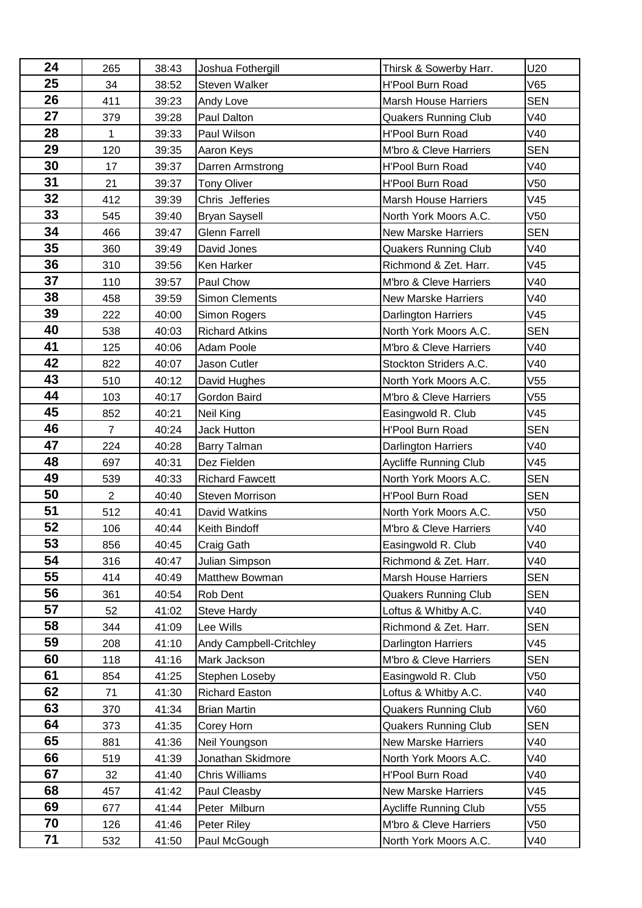| 24 | 265            | 38:43 | Joshua Fothergill       | Thirsk & Sowerby Harr.      | U20        |
|----|----------------|-------|-------------------------|-----------------------------|------------|
| 25 | 34             | 38:52 | Steven Walker           | <b>H'Pool Burn Road</b>     | V65        |
| 26 | 411            | 39:23 | Andy Love               | <b>Marsh House Harriers</b> | <b>SEN</b> |
| 27 | 379            | 39:28 | Paul Dalton             | <b>Quakers Running Club</b> | V40        |
| 28 | $\mathbf{1}$   | 39:33 | Paul Wilson             | <b>H'Pool Burn Road</b>     | V40        |
| 29 | 120            | 39:35 | Aaron Keys              | M'bro & Cleve Harriers      | <b>SEN</b> |
| 30 | 17             | 39:37 | Darren Armstrong        | <b>H'Pool Burn Road</b>     | V40        |
| 31 | 21             | 39:37 | <b>Tony Oliver</b>      | H'Pool Burn Road            | V50        |
| 32 | 412            | 39:39 | Chris Jefferies         | <b>Marsh House Harriers</b> | V45        |
| 33 | 545            | 39:40 | <b>Bryan Saysell</b>    | North York Moors A.C.       | V50        |
| 34 | 466            | 39:47 | <b>Glenn Farrell</b>    | <b>New Marske Harriers</b>  | <b>SEN</b> |
| 35 | 360            | 39:49 | David Jones             | <b>Quakers Running Club</b> | V40        |
| 36 | 310            | 39:56 | Ken Harker              | Richmond & Zet. Harr.       | V45        |
| 37 | 110            | 39:57 | Paul Chow               | M'bro & Cleve Harriers      | V40        |
| 38 | 458            | 39:59 | <b>Simon Clements</b>   | <b>New Marske Harriers</b>  | V40        |
| 39 | 222            | 40:00 | Simon Rogers            | <b>Darlington Harriers</b>  | V45        |
| 40 | 538            | 40:03 | <b>Richard Atkins</b>   | North York Moors A.C.       | <b>SEN</b> |
| 41 | 125            | 40:06 | Adam Poole              | M'bro & Cleve Harriers      | V40        |
| 42 | 822            | 40:07 | Jason Cutler            | Stockton Striders A.C.      | V40        |
| 43 | 510            | 40:12 | David Hughes            | North York Moors A.C.       | V55        |
| 44 | 103            | 40:17 | Gordon Baird            | M'bro & Cleve Harriers      | V55        |
| 45 | 852            | 40:21 | Neil King               | Easingwold R. Club          | V45        |
| 46 | $\overline{7}$ | 40:24 | <b>Jack Hutton</b>      | H'Pool Burn Road            | <b>SEN</b> |
| 47 | 224            | 40:28 | Barry Talman            | <b>Darlington Harriers</b>  | V40        |
| 48 | 697            | 40:31 | Dez Fielden             | Aycliffe Running Club       | V45        |
| 49 | 539            | 40:33 | <b>Richard Fawcett</b>  | North York Moors A.C.       | <b>SEN</b> |
| 50 | $\overline{2}$ | 40:40 | <b>Steven Morrison</b>  | H'Pool Burn Road            | <b>SEN</b> |
| 51 | 512            | 40:41 | David Watkins           | North York Moors A.C.       | V50        |
| 52 | 106            | 40:44 | Keith Bindoff           | M'bro & Cleve Harriers      | V40        |
| 53 | 856            | 40:45 | Craig Gath              | Easingwold R. Club          | V40        |
| 54 | 316            | 40:47 | Julian Simpson          | Richmond & Zet. Harr.       | V40        |
| 55 | 414            | 40:49 | Matthew Bowman          | <b>Marsh House Harriers</b> | <b>SEN</b> |
| 56 | 361            | 40:54 | Rob Dent                | <b>Quakers Running Club</b> | <b>SEN</b> |
| 57 | 52             | 41:02 | Steve Hardy             | Loftus & Whitby A.C.        | V40        |
| 58 | 344            | 41:09 | Lee Wills               | Richmond & Zet. Harr.       | SEN        |
| 59 | 208            | 41:10 | Andy Campbell-Critchley | <b>Darlington Harriers</b>  | V45        |
| 60 | 118            | 41:16 | Mark Jackson            | M'bro & Cleve Harriers      | <b>SEN</b> |
| 61 | 854            | 41:25 | Stephen Loseby          | Easingwold R. Club          | V50        |
| 62 | 71             | 41:30 | Richard Easton          | Loftus & Whitby A.C.        | V40        |
| 63 | 370            | 41:34 | <b>Brian Martin</b>     | <b>Quakers Running Club</b> | V60        |
| 64 | 373            | 41:35 | Corey Horn              | <b>Quakers Running Club</b> | <b>SEN</b> |
| 65 | 881            | 41:36 | Neil Youngson           | <b>New Marske Harriers</b>  | V40        |
| 66 | 519            | 41:39 | Jonathan Skidmore       | North York Moors A.C.       | V40        |
| 67 | 32             | 41:40 | <b>Chris Williams</b>   | <b>H'Pool Burn Road</b>     | V40        |
| 68 | 457            | 41:42 | Paul Cleasby            | <b>New Marske Harriers</b>  | V45        |
| 69 | 677            | 41:44 | Peter Milburn           | Aycliffe Running Club       | V55        |
| 70 | 126            | 41:46 | Peter Riley             | M'bro & Cleve Harriers      | V50        |
| 71 | 532            | 41:50 | Paul McGough            | North York Moors A.C.       | V40        |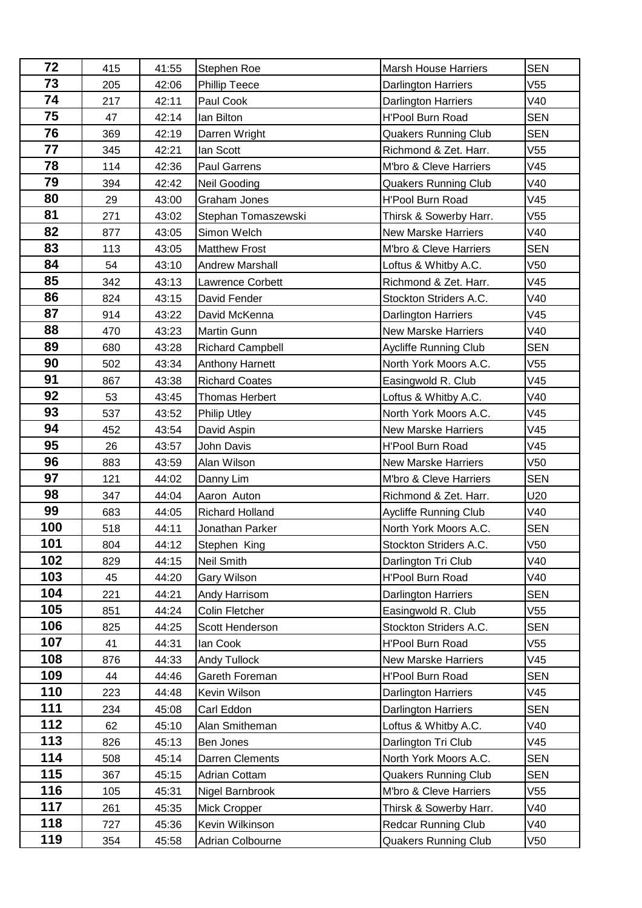| 72  | 415 | 41:55 | Stephen Roe             | <b>Marsh House Harriers</b>  | <b>SEN</b> |
|-----|-----|-------|-------------------------|------------------------------|------------|
| 73  | 205 | 42:06 | Phillip Teece           | <b>Darlington Harriers</b>   | V55        |
| 74  | 217 | 42:11 | Paul Cook               | Darlington Harriers          | V40        |
| 75  | 47  | 42:14 | lan Bilton              | <b>H'Pool Burn Road</b>      | <b>SEN</b> |
| 76  | 369 | 42:19 | Darren Wright           | <b>Quakers Running Club</b>  | <b>SEN</b> |
| 77  | 345 | 42:21 | lan Scott               | Richmond & Zet. Harr.        | V55        |
| 78  | 114 | 42:36 | <b>Paul Garrens</b>     | M'bro & Cleve Harriers       | V45        |
| 79  | 394 | 42:42 | Neil Gooding            | <b>Quakers Running Club</b>  | V40        |
| 80  | 29  | 43:00 | Graham Jones            | <b>H'Pool Burn Road</b>      | V45        |
| 81  | 271 | 43:02 | Stephan Tomaszewski     | Thirsk & Sowerby Harr.       | V55        |
| 82  | 877 | 43:05 | Simon Welch             | <b>New Marske Harriers</b>   | V40        |
| 83  | 113 | 43:05 | <b>Matthew Frost</b>    | M'bro & Cleve Harriers       | <b>SEN</b> |
| 84  | 54  | 43:10 | <b>Andrew Marshall</b>  | Loftus & Whitby A.C.         | V50        |
| 85  | 342 | 43:13 | Lawrence Corbett        | Richmond & Zet. Harr.        | V45        |
| 86  | 824 | 43:15 | David Fender            | Stockton Striders A.C.       | V40        |
| 87  | 914 | 43:22 | David McKenna           | Darlington Harriers          | V45        |
| 88  | 470 | 43:23 | Martin Gunn             | <b>New Marske Harriers</b>   | V40        |
| 89  | 680 | 43:28 | <b>Richard Campbell</b> | <b>Aycliffe Running Club</b> | <b>SEN</b> |
| 90  | 502 | 43:34 | Anthony Harnett         | North York Moors A.C.        | V55        |
| 91  | 867 | 43:38 | <b>Richard Coates</b>   | Easingwold R. Club           | V45        |
| 92  | 53  | 43:45 | <b>Thomas Herbert</b>   | Loftus & Whitby A.C.         | V40        |
| 93  | 537 | 43:52 | <b>Philip Utley</b>     | North York Moors A.C.        | V45        |
| 94  | 452 | 43:54 | David Aspin             | <b>New Marske Harriers</b>   | V45        |
| 95  | 26  | 43:57 | John Davis              | <b>H'Pool Burn Road</b>      | V45        |
| 96  | 883 | 43:59 | Alan Wilson             | <b>New Marske Harriers</b>   | V50        |
| 97  | 121 | 44:02 | Danny Lim               | M'bro & Cleve Harriers       | <b>SEN</b> |
| 98  | 347 | 44:04 | Aaron Auton             | Richmond & Zet. Harr.        | U20        |
| 99  | 683 | 44:05 | <b>Richard Holland</b>  | <b>Aycliffe Running Club</b> | V40        |
| 100 | 518 | 44:11 | Jonathan Parker         | North York Moors A.C.        | <b>SEN</b> |
| 101 | 804 | 44:12 | Stephen King            | Stockton Striders A.C.       | V50        |
| 102 | 829 | 44:15 | Neil Smith              | Darlington Tri Club          | V40        |
| 103 | 45  | 44:20 | Gary Wilson             | H'Pool Burn Road             | V40        |
| 104 | 221 | 44:21 | Andy Harrisom           | Darlington Harriers          | <b>SEN</b> |
| 105 | 851 | 44:24 | Colin Fletcher          | Easingwold R. Club           | V55        |
| 106 | 825 | 44:25 | Scott Henderson         | Stockton Striders A.C.       | <b>SEN</b> |
| 107 | 41  | 44:31 | lan Cook                | H'Pool Burn Road             | V55        |
| 108 | 876 | 44:33 | <b>Andy Tullock</b>     | <b>New Marske Harriers</b>   | V45        |
| 109 | 44  | 44:46 | Gareth Foreman          | <b>H'Pool Burn Road</b>      | <b>SEN</b> |
| 110 | 223 | 44:48 | Kevin Wilson            | Darlington Harriers          | V45        |
| 111 | 234 | 45:08 | Carl Eddon              | Darlington Harriers          | <b>SEN</b> |
| 112 | 62  | 45:10 | Alan Smitheman          | Loftus & Whitby A.C.         | V40        |
| 113 | 826 | 45:13 | Ben Jones               | Darlington Tri Club          | V45        |
| 114 | 508 | 45:14 | Darren Clements         | North York Moors A.C.        | <b>SEN</b> |
| 115 | 367 | 45:15 | Adrian Cottam           | <b>Quakers Running Club</b>  | <b>SEN</b> |
| 116 | 105 | 45:31 | Nigel Barnbrook         | M'bro & Cleve Harriers       | V55        |
| 117 | 261 | 45:35 | Mick Cropper            | Thirsk & Sowerby Harr.       | V40        |
| 118 | 727 | 45:36 | Kevin Wilkinson         | <b>Redcar Running Club</b>   | V40        |
| 119 | 354 | 45:58 | Adrian Colbourne        | <b>Quakers Running Club</b>  | V50        |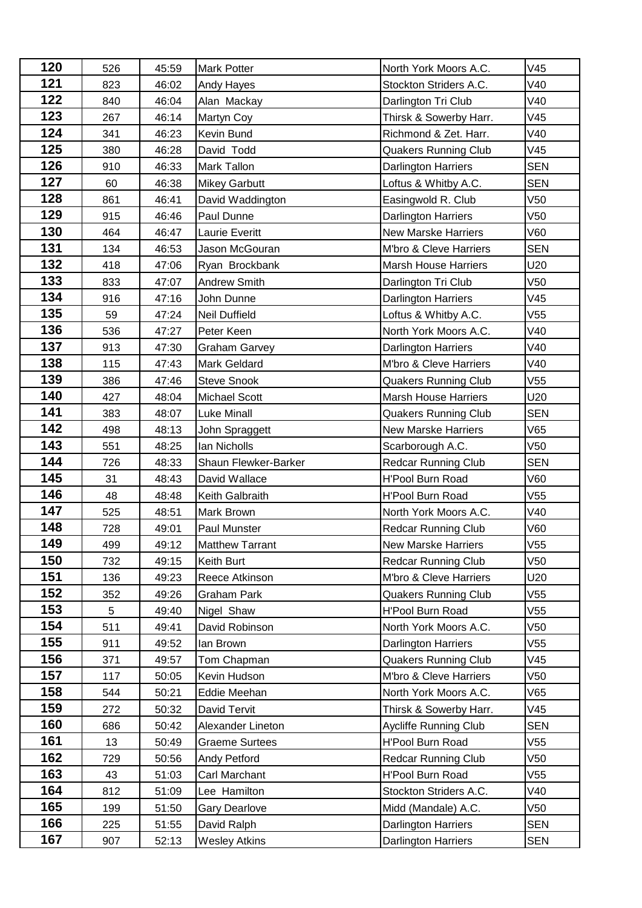| 120 | 526 | 45:59 | <b>Mark Potter</b>     | North York Moors A.C.       | V45             |
|-----|-----|-------|------------------------|-----------------------------|-----------------|
| 121 | 823 | 46:02 | Andy Hayes             | Stockton Striders A.C.      | V40             |
| 122 | 840 | 46:04 | Alan Mackay            | Darlington Tri Club         | V40             |
| 123 | 267 | 46:14 | Martyn Coy             | Thirsk & Sowerby Harr.      | V45             |
| 124 | 341 | 46:23 | Kevin Bund             | Richmond & Zet. Harr.       | V40             |
| 125 | 380 | 46:28 | David Todd             | <b>Quakers Running Club</b> | V45             |
| 126 | 910 | 46:33 | <b>Mark Tallon</b>     | <b>Darlington Harriers</b>  | <b>SEN</b>      |
| 127 | 60  | 46:38 | <b>Mikey Garbutt</b>   | Loftus & Whitby A.C.        | <b>SEN</b>      |
| 128 | 861 | 46:41 | David Waddington       | Easingwold R. Club          | V50             |
| 129 | 915 | 46:46 | Paul Dunne             | <b>Darlington Harriers</b>  | V50             |
| 130 | 464 | 46:47 | <b>Laurie Everitt</b>  | <b>New Marske Harriers</b>  | V60             |
| 131 | 134 | 46:53 | Jason McGouran         | M'bro & Cleve Harriers      | <b>SEN</b>      |
| 132 | 418 | 47:06 | Ryan Brockbank         | <b>Marsh House Harriers</b> | U20             |
| 133 | 833 | 47:07 | <b>Andrew Smith</b>    | Darlington Tri Club         | V50             |
| 134 | 916 | 47:16 | John Dunne             | <b>Darlington Harriers</b>  | V45             |
| 135 | 59  | 47:24 | <b>Neil Duffield</b>   | Loftus & Whitby A.C.        | V55             |
| 136 | 536 | 47:27 | Peter Keen             | North York Moors A.C.       | V40             |
| 137 | 913 | 47:30 | <b>Graham Garvey</b>   | Darlington Harriers         | V40             |
| 138 | 115 | 47:43 | <b>Mark Geldard</b>    | M'bro & Cleve Harriers      | V40             |
| 139 | 386 | 47:46 | <b>Steve Snook</b>     | <b>Quakers Running Club</b> | V <sub>55</sub> |
| 140 | 427 | 48:04 | <b>Michael Scott</b>   | <b>Marsh House Harriers</b> | U20             |
| 141 | 383 | 48:07 | <b>Luke Minall</b>     | <b>Quakers Running Club</b> | <b>SEN</b>      |
| 142 | 498 | 48:13 | John Spraggett         | <b>New Marske Harriers</b>  | V65             |
| 143 | 551 | 48:25 | Ian Nicholls           | Scarborough A.C.            | V <sub>50</sub> |
| 144 | 726 | 48:33 | Shaun Flewker-Barker   | <b>Redcar Running Club</b>  | <b>SEN</b>      |
| 145 | 31  | 48:43 | David Wallace          | <b>H'Pool Burn Road</b>     | V60             |
| 146 | 48  | 48:48 | Keith Galbraith        | <b>H'Pool Burn Road</b>     | V55             |
| 147 | 525 | 48:51 | Mark Brown             | North York Moors A.C.       | V40             |
| 148 | 728 | 49:01 | Paul Munster           | <b>Redcar Running Club</b>  | V60             |
| 149 | 499 | 49:12 | <b>Matthew Tarrant</b> | <b>New Marske Harriers</b>  | V55             |
| 150 | 732 | 49:15 | Keith Burt             | <b>Redcar Running Club</b>  | V <sub>50</sub> |
| 151 | 136 | 49:23 | Reece Atkinson         | M'bro & Cleve Harriers      | U20             |
| 152 | 352 | 49:26 | <b>Graham Park</b>     | <b>Quakers Running Club</b> | V55             |
| 153 | 5   | 49:40 | Nigel Shaw             | H'Pool Burn Road            | V55             |
| 154 | 511 | 49:41 | David Robinson         | North York Moors A.C.       | V50             |
| 155 | 911 | 49:52 | lan Brown              | Darlington Harriers         | V55             |
| 156 | 371 | 49:57 | Tom Chapman            | <b>Quakers Running Club</b> | V45             |
| 157 | 117 | 50:05 | Kevin Hudson           | M'bro & Cleve Harriers      | V50             |
| 158 | 544 | 50:21 | Eddie Meehan           | North York Moors A.C.       | V65             |
| 159 | 272 | 50:32 | David Tervit           | Thirsk & Sowerby Harr.      | V45             |
| 160 | 686 | 50:42 | Alexander Lineton      | Aycliffe Running Club       | <b>SEN</b>      |
| 161 | 13  | 50:49 | <b>Graeme Surtees</b>  | H'Pool Burn Road            | V55             |
| 162 | 729 | 50:56 | <b>Andy Petford</b>    | <b>Redcar Running Club</b>  | V50             |
| 163 | 43  | 51:03 | Carl Marchant          | H'Pool Burn Road            | V55             |
| 164 | 812 | 51:09 | Lee Hamilton           | Stockton Striders A.C.      | V40             |
| 165 | 199 | 51:50 | <b>Gary Dearlove</b>   | Midd (Mandale) A.C.         | V50             |
| 166 | 225 | 51:55 | David Ralph            | <b>Darlington Harriers</b>  | <b>SEN</b>      |
| 167 | 907 | 52:13 | <b>Wesley Atkins</b>   | Darlington Harriers         | <b>SEN</b>      |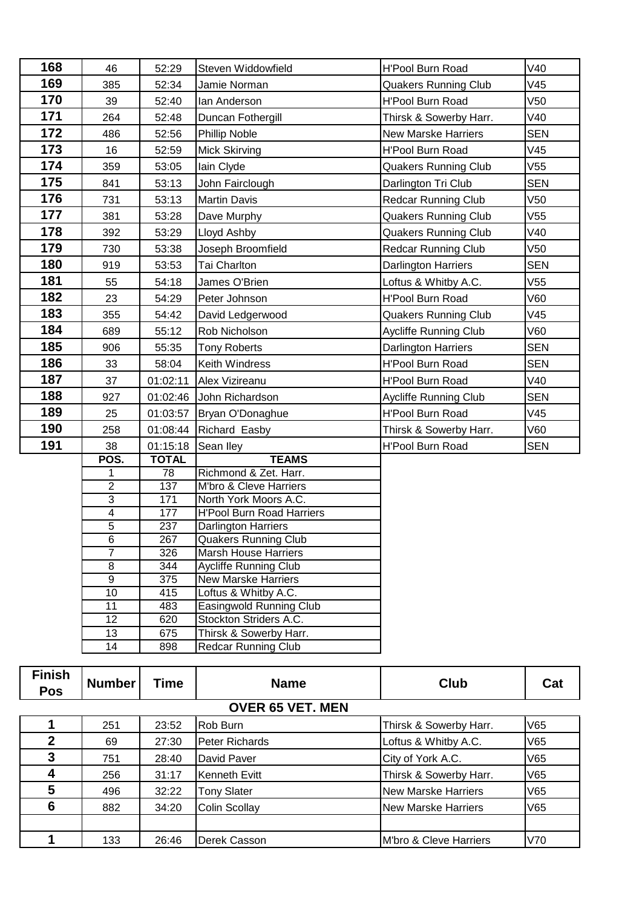| 168           | 46                  | 52:29        | Steven Widdowfield                                          | <b>H'Pool Burn Road</b>      | V40             |
|---------------|---------------------|--------------|-------------------------------------------------------------|------------------------------|-----------------|
| 169           | 385                 | 52:34        | Jamie Norman                                                | <b>Quakers Running Club</b>  | V45             |
| 170           | 39                  | 52:40        | lan Anderson                                                | <b>H'Pool Burn Road</b>      | V <sub>50</sub> |
| 171           | 264                 | 52:48        | Duncan Fothergill                                           | Thirsk & Sowerby Harr.       | V40             |
| 172           | 486                 | 52:56        | Phillip Noble                                               | <b>New Marske Harriers</b>   | <b>SEN</b>      |
| 173           | 16                  | 52:59        | Mick Skirving                                               | <b>H'Pool Burn Road</b>      | V45             |
| 174           | 359                 | 53:05        | lain Clyde                                                  | <b>Quakers Running Club</b>  | V55             |
| 175           | 841                 | 53:13        | John Fairclough                                             | Darlington Tri Club          | <b>SEN</b>      |
| 176           | 731                 | 53:13        | <b>Martin Davis</b>                                         | <b>Redcar Running Club</b>   | V50             |
| 177           | 381                 | 53:28        | Dave Murphy                                                 | <b>Quakers Running Club</b>  | V55             |
| 178           | 392                 | 53:29        | Lloyd Ashby                                                 | <b>Quakers Running Club</b>  | V40             |
| 179           | 730                 | 53:38        | Joseph Broomfield                                           | <b>Redcar Running Club</b>   | V50             |
| 180           | 919                 | 53:53        | <b>Tai Charlton</b>                                         | <b>Darlington Harriers</b>   | <b>SEN</b>      |
| 181           | 55                  | 54:18        | James O'Brien                                               | Loftus & Whitby A.C.         | V55             |
| 182           | 23                  | 54:29        | Peter Johnson                                               | <b>H'Pool Burn Road</b>      | V60             |
| 183           | 355                 | 54:42        | David Ledgerwood                                            | <b>Quakers Running Club</b>  | V45             |
| 184           | 689                 | 55:12        | Rob Nicholson                                               | <b>Aycliffe Running Club</b> | V60             |
| 185           | 906                 | 55:35        | <b>Tony Roberts</b>                                         | <b>Darlington Harriers</b>   | <b>SEN</b>      |
| 186           | 33                  | 58:04        | Keith Windress                                              | H'Pool Burn Road             | <b>SEN</b>      |
| 187           | 37                  | 01:02:11     | Alex Vizireanu                                              | <b>H'Pool Burn Road</b>      | V40             |
| 188           | 927                 |              | 01:02:46 John Richardson                                    | Aycliffe Running Club        | <b>SEN</b>      |
| 189           | 25                  | 01:03:57     | Bryan O'Donaghue                                            | <b>H'Pool Burn Road</b>      | V45             |
| 190           | 258                 |              | 01:08:44 Richard Easby                                      | Thirsk & Sowerby Harr.       | V60             |
| 191           | 38                  | 01:15:18     | Sean Iley                                                   | <b>H'Pool Burn Road</b>      | <b>SEN</b>      |
|               | POS.                | <b>TOTAL</b> | <b>TEAMS</b>                                                |                              |                 |
|               | 1                   | 78           | Richmond & Zet. Harr.                                       |                              |                 |
|               | $\overline{2}$      | 137          | M'bro & Cleve Harriers                                      |                              |                 |
|               | $\overline{3}$      | 171          | North York Moors A.C.                                       |                              |                 |
|               | 4                   | 177          | <b>H'Pool Burn Road Harriers</b>                            |                              |                 |
|               | $\overline{5}$      | 237          | <b>Darlington Harriers</b>                                  |                              |                 |
|               | $\overline{6}$      | 267          | <b>Quakers Running Club</b>                                 |                              |                 |
|               | $\overline{7}$<br>8 | 326<br>344   | <b>Marsh House Harriers</b><br><b>Aycliffe Running Club</b> |                              |                 |
|               | 9                   | 375          | <b>New Marske Harriers</b>                                  |                              |                 |
|               | 10                  | 415          | Loftus & Whitby A.C.                                        |                              |                 |
|               | 11                  | 483          | Easingwold Running Club                                     |                              |                 |
|               | 12                  | 620          | Stockton Striders A.C.                                      |                              |                 |
|               | 13                  | 675          | Thirsk & Sowerby Harr.                                      |                              |                 |
|               | 14                  | 898          | <b>Redcar Running Club</b>                                  |                              |                 |
|               |                     |              |                                                             |                              |                 |
| <b>Finish</b> |                     |              |                                                             |                              |                 |

| Finish<br><b>Pos</b>    | <b>Number</b> | Time  | <b>Name</b>           | Club                       | Cat |  |
|-------------------------|---------------|-------|-----------------------|----------------------------|-----|--|
| <b>OVER 65 VET. MEN</b> |               |       |                       |                            |     |  |
|                         | 251           | 23:52 | Rob Burn              | Thirsk & Sowerby Harr.     | V65 |  |
| 2                       | 69            | 27:30 | <b>Peter Richards</b> | Loftus & Whitby A.C.       | V65 |  |
| 3                       | 751           | 28:40 | David Paver           | City of York A.C.          | V65 |  |
|                         | 256           | 31:17 | Kenneth Evitt         | Thirsk & Sowerby Harr.     | V65 |  |
| 5                       | 496           | 32:22 | <b>Tony Slater</b>    | <b>New Marske Harriers</b> | V65 |  |
| 6                       | 882           | 34:20 | <b>Colin Scollay</b>  | <b>New Marske Harriers</b> | V65 |  |
|                         |               |       |                       |                            |     |  |
|                         | 133           | 26:46 | Derek Casson          | M'bro & Cleve Harriers     | V70 |  |